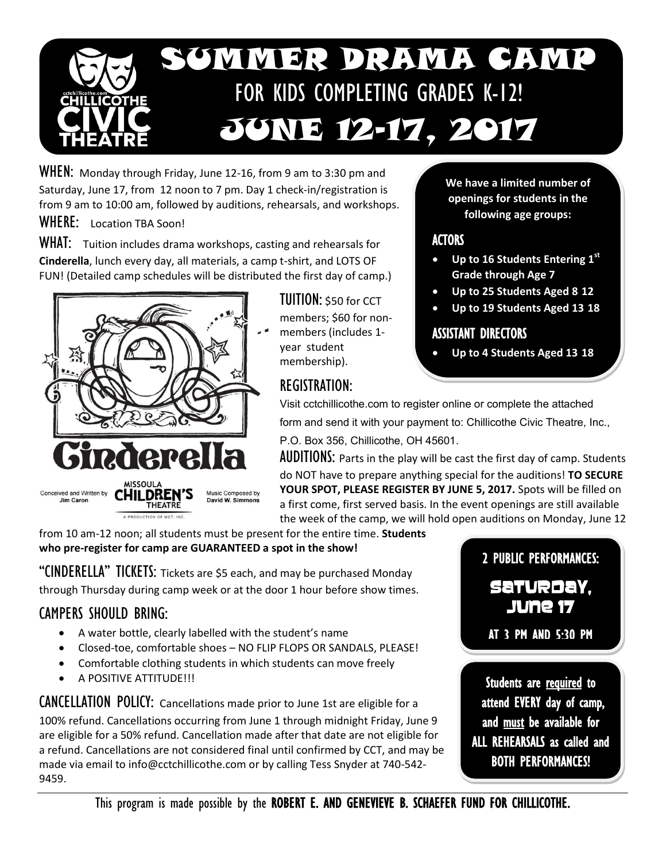

WHEN:Monday through Friday, June 12-16, from 9 am to 3:30 pm and Saturday, June 17, from 12 noon to 7 pm. Day 1 check-in/registration is from 9 am to 10:00 am, followed by auditions, rehearsals, and workshops.

WHERE: Location TBA Soon!

WHAT: Tuition includes drama workshops, casting and rehearsals for **Cinderella**, lunch every day, all materials, a camp t-shirt, and LOTS OF FUN! (Detailed camp schedules will be distributed the first day of camp.)



TUITION: \$50 for CCT members; \$60 for nonmembers (includes 1 year student membership).

# REGISTRATION:

**We have a limited number of openings for students in the following age groups:**

#### **ACTORS**

- **Up to 16 Students Entering 1st Grade through Age 7**
- **Up to 25 Students Aged 8-12**
- **Up to 19 Students Aged 13-18**

#### ASSISTANT DIRECTORS

**Up to 4 Students Aged 13-18**

Visit cctchillicothe.com to register online or complete the attached form and send it with your payment to: Chillicothe Civic Theatre, Inc., P.O. Box 356, Chillicothe, OH 45601.

**AUDITIONS:** Parts in the play will be cast the first day of camp. Students do NOT have to prepare anything special for the auditions! **TO SECURE YOUR SPOT, PLEASE REGISTER BY JUNE 5, 2017.** Spots will be filled on a first come, first served basis. In the event openings are still available the week of the camp, we will hold open auditions on Monday, June 12

from 10 am-12 noon; all students must be present for the entire time. **Students who pre-register for camp are GUARANTEED a spot in the show!** 

"CINDERELLA" TICKETS: Tickets are \$5 each, and may be purchased Monday through Thursday during camp week or at the door 1 hour before show times.

## CAMPERS SHOULD BRING:

- A water bottle, clearly labelled with the student's name
- Closed-toe, comfortable shoes NO FLIP FLOPS OR SANDALS, PLEASE!
- Comfortable clothing students in which students can move freely
- A POSITIVE ATTITUDE!!!

CANCELLATION POLICY: Cancellations made prior to June 1st are eligible for a 100% refund. Cancellations occurring from June 1 through midnight Friday, June 9 are eligible for a 50% refund. Cancellation made after that date are not eligible for a refund. Cancellations are not considered final until confirmed by CCT, and may be made via email to info@cctchillicothe.com or by calling Tess Snyder at 740-542- 9459.

2 PUBLIC PERFORMANCES:

SATURDAY, JUNE 17

AT 3 PM AND 5:30 PM

Students are required to attend EVERY day of camp, and must be available for ALL REHEARSALS as called and BOTH PERFORMANCES!